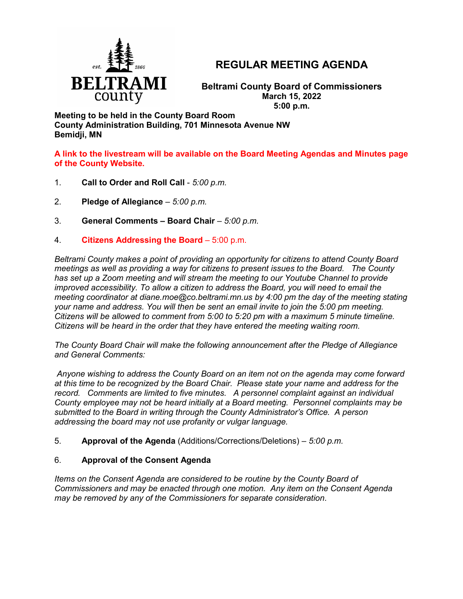

# **REGULAR MEETING AGENDA**

**Beltrami County Board of Commissioners March 15, 2022 5:00 p.m.**

**Meeting to be held in the County Board Room County Administration Building, 701 Minnesota Avenue NW Bemidji, MN**

**A link to the livestream will be available on the Board Meeting Agendas and Minutes page of the County Website.**

- 1. **Call to Order and Roll Call** *5:00 p.m.*
- 2. **Pledge of Allegiance**  *5:00 p.m.*
- 3. **General Comments – Board Chair** *5:00 p.m.*
- 4. **Citizens Addressing the Board**  5:00 p.m.

*Beltrami County makes a point of providing an opportunity for citizens to attend County Board meetings as well as providing a way for citizens to present issues to the Board. The County has set up a Zoom meeting and will stream the meeting to our Youtube Channel to provide improved accessibility. To allow a citizen to address the Board, you will need to email the meeting coordinator at diane.moe@co.beltrami.mn.us by 4:00 pm the day of the meeting stating your name and address. You will then be sent an email invite to join the 5:00 pm meeting. Citizens will be allowed to comment from 5:00 to 5:20 pm with a maximum 5 minute timeline. Citizens will be heard in the order that they have entered the meeting waiting room.* 

*The County Board Chair will make the following announcement after the Pledge of Allegiance and General Comments:*

*Anyone wishing to address the County Board on an item not on the agenda may come forward at this time to be recognized by the Board Chair. Please state your name and address for the record. Comments are limited to five minutes. A personnel complaint against an individual County employee may not be heard initially at a Board meeting. Personnel complaints may be submitted to the Board in writing through the County Administrator's Office. A person addressing the board may not use profanity or vulgar language.*

5. **Approval of the Agenda** (Additions/Corrections/Deletions) – *5:00 p.m.*

# 6. **Approval of the Consent Agenda**

*Items on the Consent Agenda are considered to be routine by the County Board of Commissioners and may be enacted through one motion. Any item on the Consent Agenda may be removed by any of the Commissioners for separate consideration*.